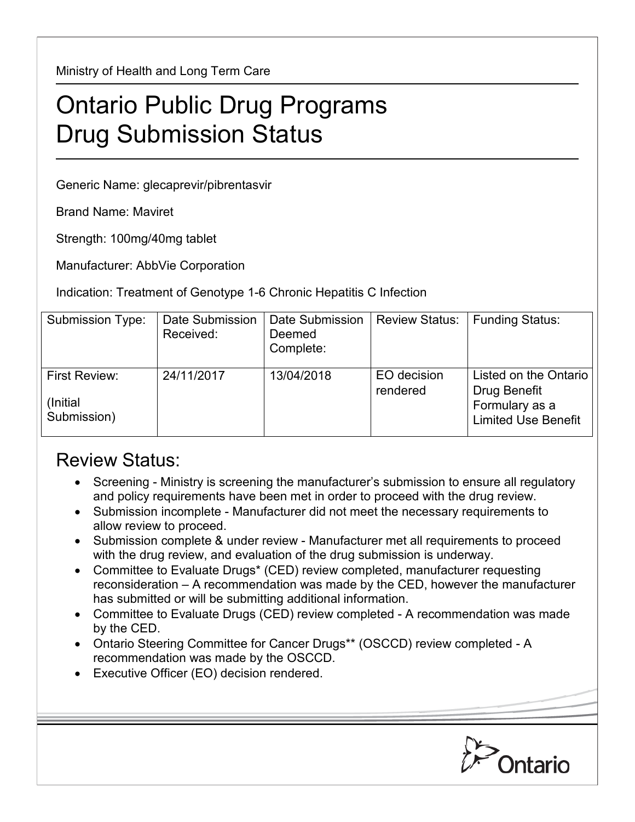Ministry of Health and Long Term Care

## Ontario Public Drug Programs Drug Submission Status

Generic Name: glecaprevir/pibrentasvir

Brand Name: Maviret

Strength: 100mg/40mg tablet

Manufacturer: AbbVie Corporation

Indication: Treatment of Genotype 1-6 Chronic Hepatitis C Infection

| Submission Type:                          | Date Submission<br>Received: | Date Submission<br>Deemed<br>Complete: | <b>Review Status:</b>   | <b>Funding Status:</b>                                                                |
|-------------------------------------------|------------------------------|----------------------------------------|-------------------------|---------------------------------------------------------------------------------------|
| First Review:<br>(Initial)<br>Submission) | 24/11/2017                   | 13/04/2018                             | EO decision<br>rendered | Listed on the Ontario<br>Drug Benefit<br>Formulary as a<br><b>Limited Use Benefit</b> |

## Review Status:

- Screening Ministry is screening the manufacturer's submission to ensure all regulatory and policy requirements have been met in order to proceed with the drug review.
- Submission incomplete Manufacturer did not meet the necessary requirements to allow review to proceed.
- Submission complete & under review Manufacturer met all requirements to proceed with the drug review, and evaluation of the drug submission is underway.
- Committee to Evaluate Drugs\* (CED) review completed, manufacturer requesting reconsideration – A recommendation was made by the CED, however the manufacturer has submitted or will be submitting additional information.
- Committee to Evaluate Drugs (CED) review completed A recommendation was made by the CED.
- Ontario Steering Committee for Cancer Drugs\*\* (OSCCD) review completed A recommendation was made by the OSCCD.
- Executive Officer (EO) decision rendered.